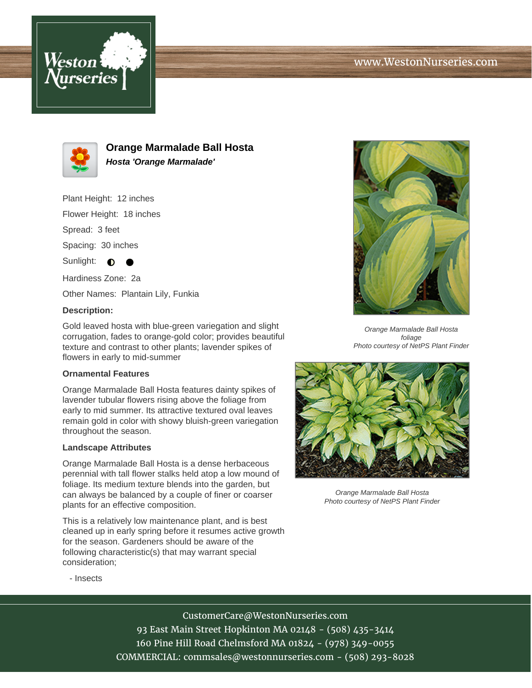



**Orange Marmalade Ball Hosta Hosta 'Orange Marmalade'**

Plant Height: 12 inches

Flower Height: 18 inches

Spread: 3 feet

Spacing: 30 inches

Sunlight:  $\bigcirc$ 

Hardiness Zone: 2a

Other Names: Plantain Lily, Funkia

## **Description:**

Gold leaved hosta with blue-green variegation and slight corrugation, fades to orange-gold color; provides beautiful texture and contrast to other plants; lavender spikes of flowers in early to mid-summer

## **Ornamental Features**

Orange Marmalade Ball Hosta features dainty spikes of lavender tubular flowers rising above the foliage from early to mid summer. Its attractive textured oval leaves remain gold in color with showy bluish-green variegation throughout the season.

## **Landscape Attributes**

Orange Marmalade Ball Hosta is a dense herbaceous perennial with tall flower stalks held atop a low mound of foliage. Its medium texture blends into the garden, but can always be balanced by a couple of finer or coarser plants for an effective composition.

This is a relatively low maintenance plant, and is best cleaned up in early spring before it resumes active growth for the season. Gardeners should be aware of the following characteristic(s) that may warrant special consideration;



Orange Marmalade Ball Hosta foliage Photo courtesy of NetPS Plant Finder



Orange Marmalade Ball Hosta Photo courtesy of NetPS Plant Finder

- Insects

CustomerCare@WestonNurseries.com 93 East Main Street Hopkinton MA 02148 - (508) 435-3414 160 Pine Hill Road Chelmsford MA 01824 - (978) 349-0055 COMMERCIAL: commsales@westonnurseries.com - (508) 293-8028